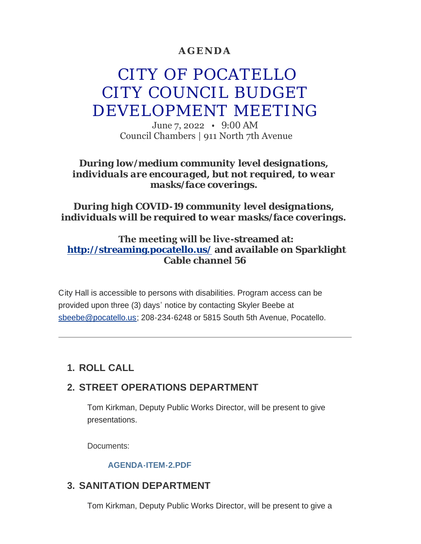## **AGENDA**

# CITY OF POCATELLO CITY COUNCIL BUDGET DEVELOPMENT MEETING

June 7, 2022 • 9:00 AM Council Chambers | 911 North 7th Avenue

#### *During low/medium community level designations, individuals are encouraged, but not required, to wear masks/face coverings.*

### *During high COVID-19 community level designations, individuals will be required to wear masks/face coverings.*

### **The meeting will be live-streamed at: <http://streaming.pocatello.us/> and available on Sparklight Cable channel 56**

City Hall is accessible to persons with disabilities. Program access can be [provided upon three \(3](mailto:sbeebe@pocatello.us)) days' notice by contacting Skyler Beebe at sbeebe@pocatello.us; 208-234-6248 or 5815 South 5th Avenue, Pocatello.

# **ROLL CALL 1.**

# **STREET OPERATIONS DEPARTMENT 2.**

Tom Kirkman, Deputy Public Works Director, will be present to give presentations.

Documents:

#### **[AGENDA-ITEM-2.PDF](https://www.pocatello.us/AgendaCenter/ViewFile/Item/3412?fileID=10848)**

## **SANITATION DEPARTMENT 3.**

Tom Kirkman, Deputy Public Works Director, will be present to give a